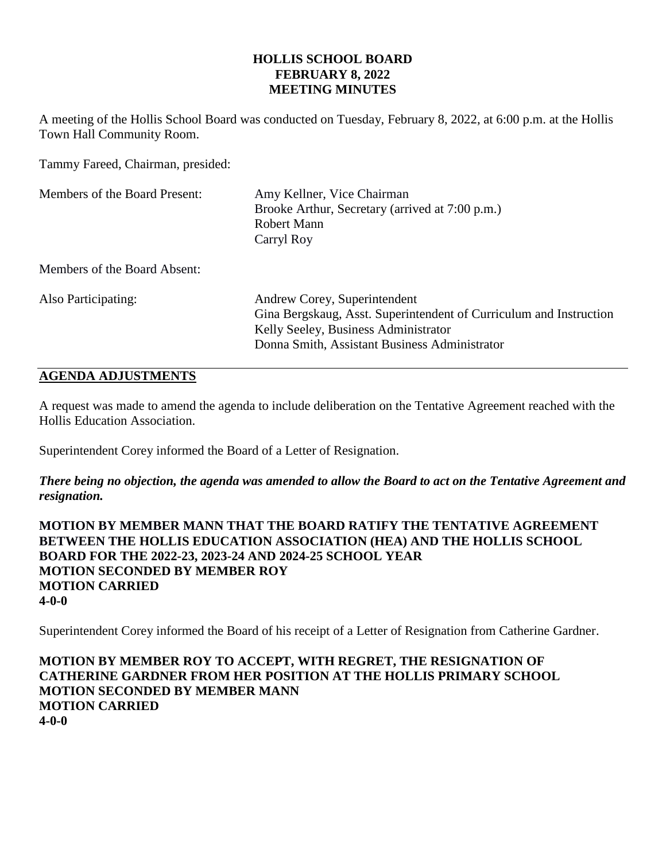### **HOLLIS SCHOOL BOARD FEBRUARY 8, 2022 MEETING MINUTES**

A meeting of the Hollis School Board was conducted on Tuesday, February 8, 2022, at 6:00 p.m. at the Hollis Town Hall Community Room.

Tammy Fareed, Chairman, presided:

| Members of the Board Present: | Amy Kellner, Vice Chairman<br>Brooke Arthur, Secretary (arrived at 7:00 p.m.)<br>Robert Mann<br>Carryl Roy                                                                                  |  |
|-------------------------------|---------------------------------------------------------------------------------------------------------------------------------------------------------------------------------------------|--|
| Members of the Board Absent:  |                                                                                                                                                                                             |  |
| Also Participating:           | Andrew Corey, Superintendent<br>Gina Bergskaug, Asst. Superintendent of Curriculum and Instruction<br>Kelly Seeley, Business Administrator<br>Donna Smith, Assistant Business Administrator |  |

# **AGENDA ADJUSTMENTS**

A request was made to amend the agenda to include deliberation on the Tentative Agreement reached with the Hollis Education Association.

Superintendent Corey informed the Board of a Letter of Resignation.

*There being no objection, the agenda was amended to allow the Board to act on the Tentative Agreement and resignation.*

**MOTION BY MEMBER MANN THAT THE BOARD RATIFY THE TENTATIVE AGREEMENT BETWEEN THE HOLLIS EDUCATION ASSOCIATION (HEA) AND THE HOLLIS SCHOOL BOARD FOR THE 2022-23, 2023-24 AND 2024-25 SCHOOL YEAR MOTION SECONDED BY MEMBER ROY MOTION CARRIED 4-0-0**

Superintendent Corey informed the Board of his receipt of a Letter of Resignation from Catherine Gardner.

**MOTION BY MEMBER ROY TO ACCEPT, WITH REGRET, THE RESIGNATION OF CATHERINE GARDNER FROM HER POSITION AT THE HOLLIS PRIMARY SCHOOL MOTION SECONDED BY MEMBER MANN MOTION CARRIED 4-0-0**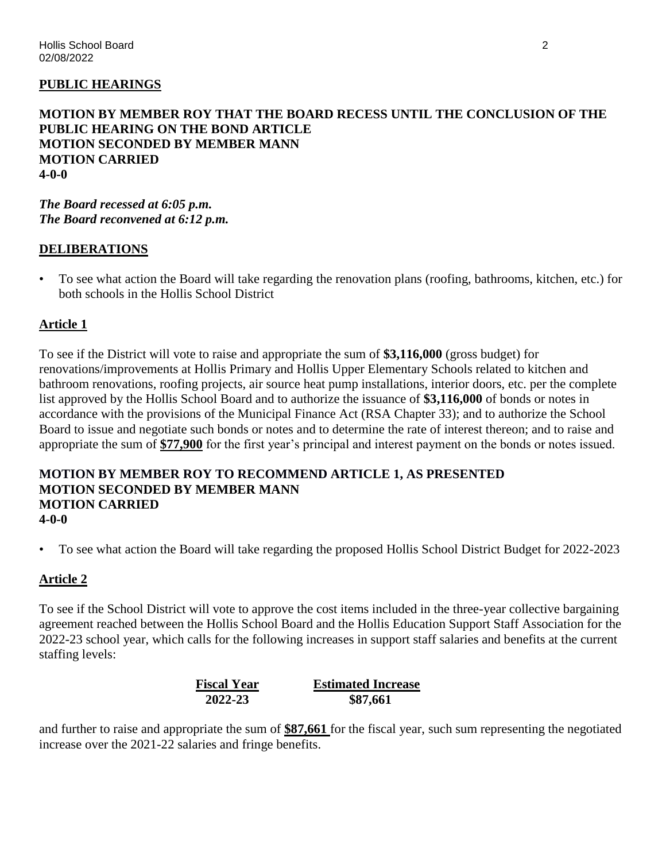### **PUBLIC HEARINGS**

### **MOTION BY MEMBER ROY THAT THE BOARD RECESS UNTIL THE CONCLUSION OF THE PUBLIC HEARING ON THE BOND ARTICLE MOTION SECONDED BY MEMBER MANN MOTION CARRIED 4-0-0**

*The Board recessed at 6:05 p.m. The Board reconvened at 6:12 p.m.*

### **DELIBERATIONS**

• To see what action the Board will take regarding the renovation plans (roofing, bathrooms, kitchen, etc.) for both schools in the Hollis School District

### **Article 1**

To see if the District will vote to raise and appropriate the sum of **\$3,116,000** (gross budget) for renovations/improvements at Hollis Primary and Hollis Upper Elementary Schools related to kitchen and bathroom renovations, roofing projects, air source heat pump installations, interior doors, etc. per the complete list approved by the Hollis School Board and to authorize the issuance of **\$3,116,000** of bonds or notes in accordance with the provisions of the Municipal Finance Act (RSA Chapter 33); and to authorize the School Board to issue and negotiate such bonds or notes and to determine the rate of interest thereon; and to raise and appropriate the sum of **\$77,900** for the first year's principal and interest payment on the bonds or notes issued.

### **MOTION BY MEMBER ROY TO RECOMMEND ARTICLE 1, AS PRESENTED MOTION SECONDED BY MEMBER MANN MOTION CARRIED 4-0-0**

• To see what action the Board will take regarding the proposed Hollis School District Budget for 2022-2023

### **Article 2**

To see if the School District will vote to approve the cost items included in the three-year collective bargaining agreement reached between the Hollis School Board and the Hollis Education Support Staff Association for the 2022-23 school year, which calls for the following increases in support staff salaries and benefits at the current staffing levels:

| <b>Fiscal Year</b> | <b>Estimated Increase</b> |  |  |
|--------------------|---------------------------|--|--|
| 2022-23            | \$87,661                  |  |  |

and further to raise and appropriate the sum of **\$87,661** for the fiscal year, such sum representing the negotiated increase over the 2021-22 salaries and fringe benefits.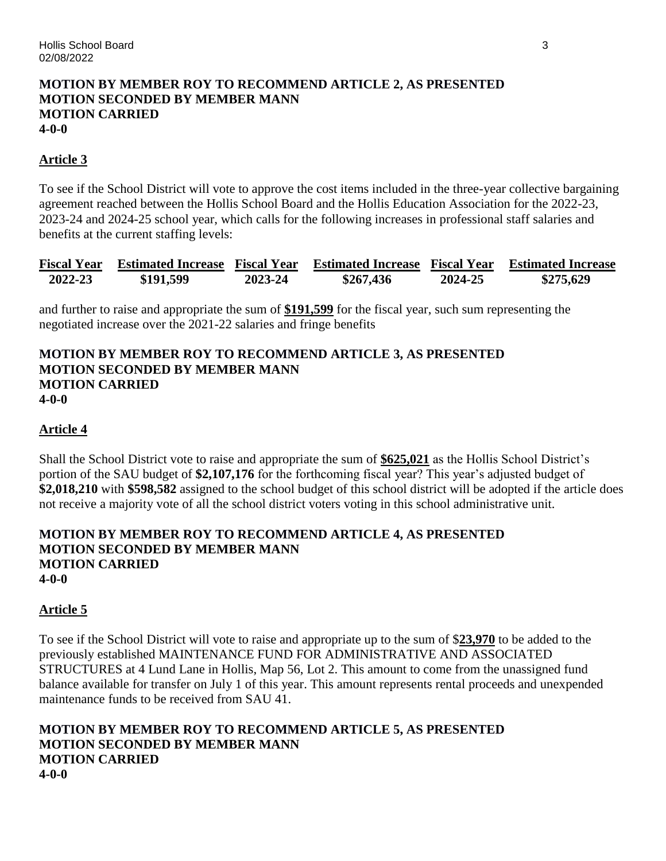### **MOTION BY MEMBER ROY TO RECOMMEND ARTICLE 2, AS PRESENTED MOTION SECONDED BY MEMBER MANN MOTION CARRIED 4-0-0**

## **Article 3**

To see if the School District will vote to approve the cost items included in the three-year collective bargaining agreement reached between the Hollis School Board and the Hollis Education Association for the 2022-23, 2023-24 and 2024-25 school year, which calls for the following increases in professional staff salaries and benefits at the current staffing levels:

|         | Fiscal Year Estimated Increase Fiscal Year |         | <b>Estimated Increase Fiscal Year Estimated Increase</b> |         |           |
|---------|--------------------------------------------|---------|----------------------------------------------------------|---------|-----------|
| 2022-23 | \$191,599                                  | 2023-24 | \$267,436                                                | 2024-25 | \$275,629 |

and further to raise and appropriate the sum of **\$191,599** for the fiscal year, such sum representing the negotiated increase over the 2021-22 salaries and fringe benefits

### **MOTION BY MEMBER ROY TO RECOMMEND ARTICLE 3, AS PRESENTED MOTION SECONDED BY MEMBER MANN MOTION CARRIED 4-0-0**

# **Article 4**

Shall the School District vote to raise and appropriate the sum of **\$625,021** as the Hollis School District's portion of the SAU budget of **\$2,107,176** for the forthcoming fiscal year? This year's adjusted budget of **\$2,018,210** with **\$598,582** assigned to the school budget of this school district will be adopted if the article does not receive a majority vote of all the school district voters voting in this school administrative unit.

### **MOTION BY MEMBER ROY TO RECOMMEND ARTICLE 4, AS PRESENTED MOTION SECONDED BY MEMBER MANN MOTION CARRIED 4-0-0**

## **Article 5**

To see if the School District will vote to raise and appropriate up to the sum of \$**23,970** to be added to the previously established MAINTENANCE FUND FOR ADMINISTRATIVE AND ASSOCIATED STRUCTURES at 4 Lund Lane in Hollis, Map 56, Lot 2. This amount to come from the unassigned fund balance available for transfer on July 1 of this year. This amount represents rental proceeds and unexpended maintenance funds to be received from SAU 41.

### **MOTION BY MEMBER ROY TO RECOMMEND ARTICLE 5, AS PRESENTED MOTION SECONDED BY MEMBER MANN MOTION CARRIED 4-0-0**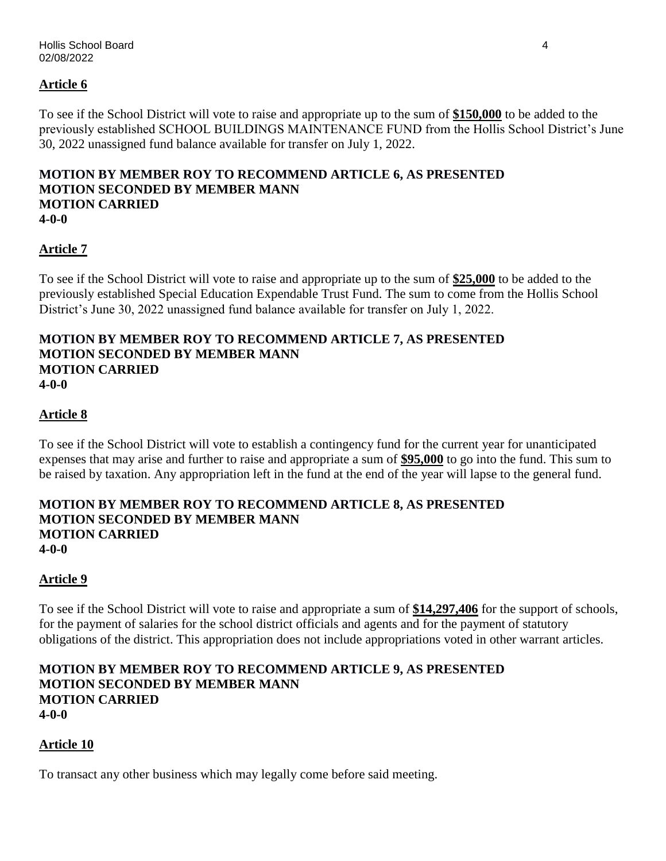# **Article 6**

To see if the School District will vote to raise and appropriate up to the sum of **\$150,000** to be added to the previously established SCHOOL BUILDINGS MAINTENANCE FUND from the Hollis School District's June 30, 2022 unassigned fund balance available for transfer on July 1, 2022.

### **MOTION BY MEMBER ROY TO RECOMMEND ARTICLE 6, AS PRESENTED MOTION SECONDED BY MEMBER MANN MOTION CARRIED 4-0-0**

# **Article 7**

To see if the School District will vote to raise and appropriate up to the sum of **\$25,000** to be added to the previously established Special Education Expendable Trust Fund. The sum to come from the Hollis School District's June 30, 2022 unassigned fund balance available for transfer on July 1, 2022.

### **MOTION BY MEMBER ROY TO RECOMMEND ARTICLE 7, AS PRESENTED MOTION SECONDED BY MEMBER MANN MOTION CARRIED 4-0-0**

## **Article 8**

To see if the School District will vote to establish a contingency fund for the current year for unanticipated expenses that may arise and further to raise and appropriate a sum of **\$95,000** to go into the fund. This sum to be raised by taxation. Any appropriation left in the fund at the end of the year will lapse to the general fund.

### **MOTION BY MEMBER ROY TO RECOMMEND ARTICLE 8, AS PRESENTED MOTION SECONDED BY MEMBER MANN MOTION CARRIED 4-0-0**

## **Article 9**

To see if the School District will vote to raise and appropriate a sum of **\$14,297,406** for the support of schools, for the payment of salaries for the school district officials and agents and for the payment of statutory obligations of the district. This appropriation does not include appropriations voted in other warrant articles.

### **MOTION BY MEMBER ROY TO RECOMMEND ARTICLE 9, AS PRESENTED MOTION SECONDED BY MEMBER MANN MOTION CARRIED 4-0-0**

## **Article 10**

To transact any other business which may legally come before said meeting.